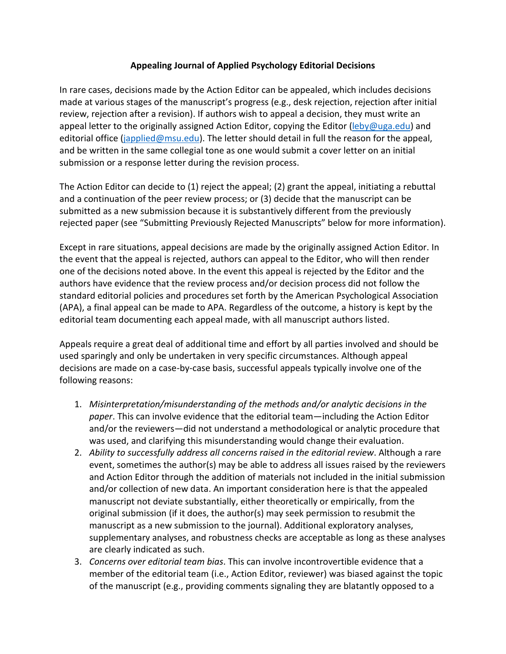## **Appealing Journal of Applied Psychology Editorial Decisions**

In rare cases, decisions made by the Action Editor can be appealed, which includes decisions made at various stages of the manuscript's progress (e.g., desk rejection, rejection after initial review, rejection after a revision). If authors wish to appeal a decision, they must write an appeal letter to the originally assigned Action Editor, copying the Editor [\(leby@uga.edu\)](mailto:leby@uga.edu) and editorial office [\(japplied@msu.edu\)](mailto:japplied@msu.edu). The letter should detail in full the reason for the appeal, and be written in the same collegial tone as one would submit a cover letter on an initial submission or a response letter during the revision process.

The Action Editor can decide to (1) reject the appeal; (2) grant the appeal, initiating a rebuttal and a continuation of the peer review process; or (3) decide that the manuscript can be submitted as a new submission because it is substantively different from the previously rejected paper (see "Submitting Previously Rejected Manuscripts" below for more information).

Except in rare situations, appeal decisions are made by the originally assigned Action Editor. In the event that the appeal is rejected, authors can appeal to the Editor, who will then render one of the decisions noted above. In the event this appeal is rejected by the Editor and the authors have evidence that the review process and/or decision process did not follow the standard editorial policies and procedures set forth by the American Psychological Association (APA), a final appeal can be made to APA. Regardless of the outcome, a history is kept by the editorial team documenting each appeal made, with all manuscript authors listed.

Appeals require a great deal of additional time and effort by all parties involved and should be used sparingly and only be undertaken in very specific circumstances. Although appeal decisions are made on a case-by-case basis, successful appeals typically involve one of the following reasons:

- 1. *Misinterpretation/misunderstanding of the methods and/or analytic decisions in the paper*. This can involve evidence that the editorial team—including the Action Editor and/or the reviewers—did not understand a methodological or analytic procedure that was used, and clarifying this misunderstanding would change their evaluation.
- 2. *Ability to successfully address all concerns raised in the editorial review*. Although a rare event, sometimes the author(s) may be able to address all issues raised by the reviewers and Action Editor through the addition of materials not included in the initial submission and/or collection of new data. An important consideration here is that the appealed manuscript not deviate substantially, either theoretically or empirically, from the original submission (if it does, the author(s) may seek permission to resubmit the manuscript as a new submission to the journal). Additional exploratory analyses, supplementary analyses, and robustness checks are acceptable as long as these analyses are clearly indicated as such.
- 3. *Concerns over editorial team bias*. This can involve incontrovertible evidence that a member of the editorial team (i.e., Action Editor, reviewer) was biased against the topic of the manuscript (e.g., providing comments signaling they are blatantly opposed to a